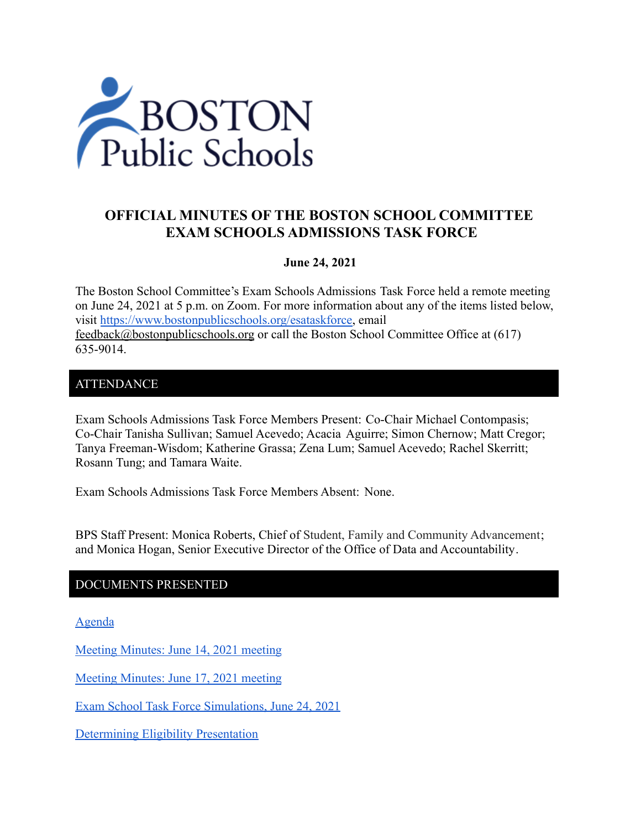

# **OFFICIAL MINUTES OF THE BOSTON SCHOOL COMMITTEE EXAM SCHOOLS ADMISSIONS TASK FORCE**

## **June 24, 2021**

The Boston School Committee's Exam Schools Admissions Task Force held a remote meeting on June 24, 2021 at 5 p.m. on Zoom. For more information about any of the items listed below, visit [https://www.bostonpublicschools.org/esataskforce,](https://www.bostonpublicschools.org/esataskforce) email [feedback@bostonpublicschools.org](mailto:feedback@bostonpublicschools.org) or call the Boston School Committee Office at (617) 635-9014.

## ATTENDANCE

Exam Schools Admissions Task Force Members Present: Co-Chair Michael Contompasis; Co-Chair Tanisha Sullivan; Samuel Acevedo; Acacia Aguirre; Simon Chernow; Matt Cregor; Tanya Freeman-Wisdom; Katherine Grassa; Zena Lum; Samuel Acevedo; Rachel Skerritt; Rosann Tung; and Tamara Waite.

Exam Schools Admissions Task Force Members Absent: None.

BPS Staff Present: Monica Roberts, Chief of Student, Family and Community Advancement; and Monica Hogan, Senior Executive Director of the Office of Data and Accountability.

## DOCUMENTS PRESENTED

[Agenda](https://www.boston.gov/public-notices/15756916)

[Meeting Minutes: June 14, 2021 meeting](https://www.bostonpublicschools.org/cms/lib/MA01906464/Centricity/Domain/2931/Minutes%206%2014%2021%20Exam%20Schools%20Admissions%20TF%20Meeting.pdf)

[Meeting Minutes: June 17, 2021 meeting](https://www.bostonpublicschools.org/cms/lib/MA01906464/Centricity/Domain/2931/Minutes%206%2017%2021%20Exam%20School%20Admission%20TF%20Meeting.pdf)

[Exam School Task Force Simulations, June 24, 2021](https://www.bostonpublicschools.org/cms/lib/MA01906464/Centricity/Domain/2931/Exam%20School%20Task%20Force%20Simulations%206%2024%2021.pdf)

[Determining Eligibility Presentation](https://www.bostonpublicschools.org/cms/lib/MA01906464/Centricity/Domain/2931/Eligibility.pdf)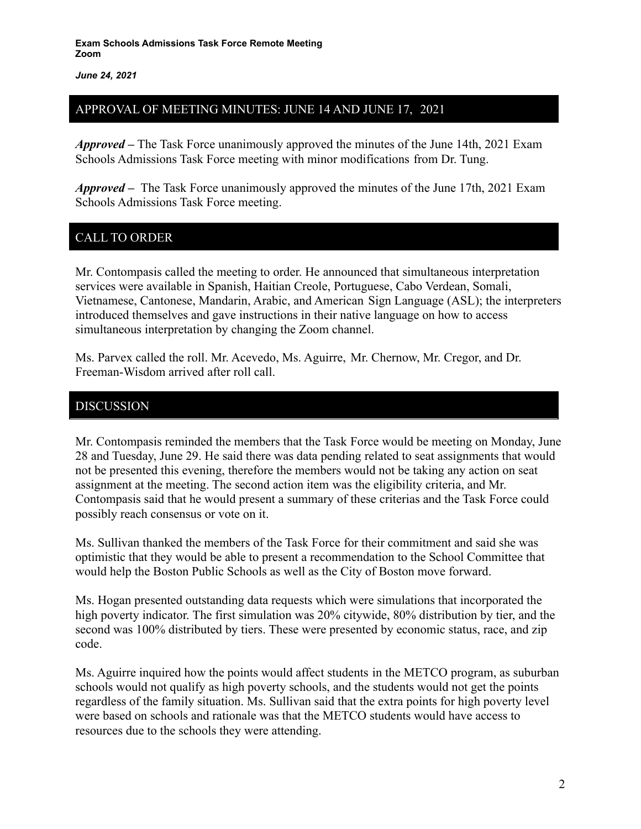*June 24, 2021*

## APPROVAL OF MEETING MINUTES: JUNE 14 AND JUNE 17, 2021

*Approved –* The Task Force unanimously approved the minutes of the June 14th, 2021 Exam Schools Admissions Task Force meeting with minor modifications from Dr. Tung.

*Approved –* The Task Force unanimously approved the minutes of the June 17th, 2021 Exam Schools Admissions Task Force meeting.

# CALL TO ORDER

Mr. Contompasis called the meeting to order. He announced that simultaneous interpretation services were available in Spanish, Haitian Creole, Portuguese, Cabo Verdean, Somali, Vietnamese, Cantonese, Mandarin, Arabic, and American Sign Language (ASL); the interpreters introduced themselves and gave instructions in their native language on how to access simultaneous interpretation by changing the Zoom channel.

Ms. Parvex called the roll. Mr. Acevedo, Ms. Aguirre, Mr. Chernow, Mr. Cregor, and Dr. Freeman-Wisdom arrived after roll call.

## DISCUSSION

Mr. Contompasis reminded the members that the Task Force would be meeting on Monday, June 28 and Tuesday, June 29. He said there was data pending related to seat assignments that would not be presented this evening, therefore the members would not be taking any action on seat assignment at the meeting. The second action item was the eligibility criteria, and Mr. Contompasis said that he would present a summary of these criterias and the Task Force could possibly reach consensus or vote on it.

Ms. Sullivan thanked the members of the Task Force for their commitment and said she was optimistic that they would be able to present a recommendation to the School Committee that would help the Boston Public Schools as well as the City of Boston move forward.

Ms. Hogan presented outstanding data requests which were simulations that incorporated the high poverty indicator. The first simulation was 20% citywide, 80% distribution by tier, and the second was 100% distributed by tiers. These were presented by economic status, race, and zip code.

Ms. Aguirre inquired how the points would affect students in the METCO program, as suburban schools would not qualify as high poverty schools, and the students would not get the points regardless of the family situation. Ms. Sullivan said that the extra points for high poverty level were based on schools and rationale was that the METCO students would have access to resources due to the schools they were attending.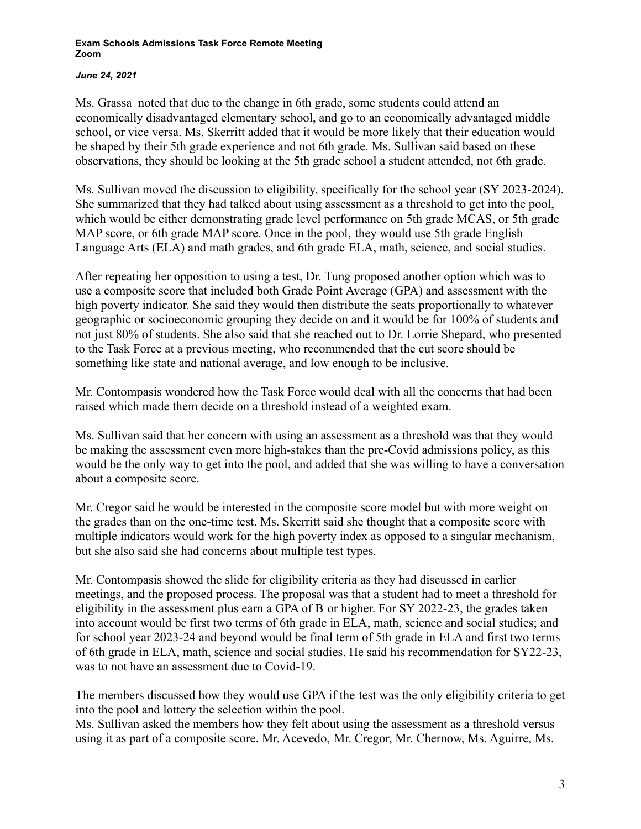## *June 24, 2021*

Ms. Grassa noted that due to the change in 6th grade, some students could attend an economically disadvantaged elementary school, and go to an economically advantaged middle school, or vice versa. Ms. Skerritt added that it would be more likely that their education would be shaped by their 5th grade experience and not 6th grade. Ms. Sullivan said based on these observations, they should be looking at the 5th grade school a student attended, not 6th grade.

Ms. Sullivan moved the discussion to eligibility, specifically for the school year (SY 2023-2024). She summarized that they had talked about using assessment as a threshold to get into the pool, which would be either demonstrating grade level performance on 5th grade MCAS, or 5th grade MAP score, or 6th grade MAP score. Once in the pool, they would use 5th grade English Language Arts (ELA) and math grades, and 6th grade ELA, math, science, and social studies.

After repeating her opposition to using a test, Dr. Tung proposed another option which was to use a composite score that included both Grade Point Average (GPA) and assessment with the high poverty indicator. She said they would then distribute the seats proportionally to whatever geographic or socioeconomic grouping they decide on and it would be for 100% of students and not just 80% of students. She also said that she reached out to Dr. Lorrie Shepard, who presented to the Task Force at a previous meeting, who recommended that the cut score should be something like state and national average, and low enough to be inclusive.

Mr. Contompasis wondered how the Task Force would deal with all the concerns that had been raised which made them decide on a threshold instead of a weighted exam.

Ms. Sullivan said that her concern with using an assessment as a threshold was that they would be making the assessment even more high-stakes than the pre-Covid admissions policy, as this would be the only way to get into the pool, and added that she was willing to have a conversation about a composite score.

Mr. Cregor said he would be interested in the composite score model but with more weight on the grades than on the one-time test. Ms. Skerritt said she thought that a composite score with multiple indicators would work for the high poverty index as opposed to a singular mechanism, but she also said she had concerns about multiple test types.

Mr. Contompasis showed the slide for eligibility criteria as they had discussed in earlier meetings, and the proposed process. The proposal was that a student had to meet a threshold for eligibility in the assessment plus earn a GPA of B or higher. For SY 2022-23, the grades taken into account would be first two terms of 6th grade in ELA, math, science and social studies; and for school year 2023-24 and beyond would be final term of 5th grade in ELA and first two terms of 6th grade in ELA, math, science and social studies. He said his recommendation for SY22-23, was to not have an assessment due to Covid-19.

The members discussed how they would use GPA if the test was the only eligibility criteria to get into the pool and lottery the selection within the pool.

Ms. Sullivan asked the members how they felt about using the assessment as a threshold versus using it as part of a composite score. Mr. Acevedo, Mr. Cregor, Mr. Chernow, Ms. Aguirre, Ms.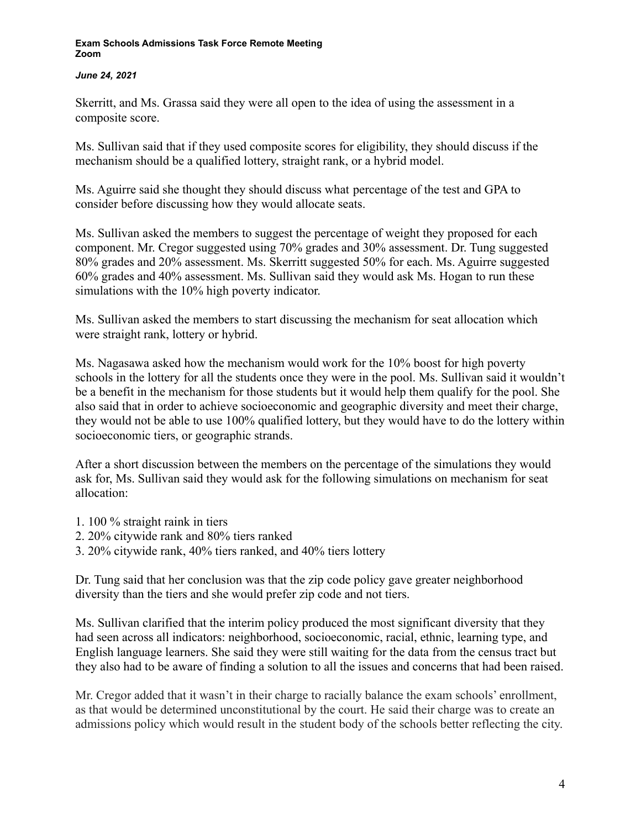## *June 24, 2021*

Skerritt, and Ms. Grassa said they were all open to the idea of using the assessment in a composite score.

Ms. Sullivan said that if they used composite scores for eligibility, they should discuss if the mechanism should be a qualified lottery, straight rank, or a hybrid model.

Ms. Aguirre said she thought they should discuss what percentage of the test and GPA to consider before discussing how they would allocate seats.

Ms. Sullivan asked the members to suggest the percentage of weight they proposed for each component. Mr. Cregor suggested using 70% grades and 30% assessment. Dr. Tung suggested 80% grades and 20% assessment. Ms. Skerritt suggested 50% for each. Ms. Aguirre suggested 60% grades and 40% assessment. Ms. Sullivan said they would ask Ms. Hogan to run these simulations with the 10% high poverty indicator.

Ms. Sullivan asked the members to start discussing the mechanism for seat allocation which were straight rank, lottery or hybrid.

Ms. Nagasawa asked how the mechanism would work for the 10% boost for high poverty schools in the lottery for all the students once they were in the pool. Ms. Sullivan said it wouldn't be a benefit in the mechanism for those students but it would help them qualify for the pool. She also said that in order to achieve socioeconomic and geographic diversity and meet their charge, they would not be able to use 100% qualified lottery, but they would have to do the lottery within socioeconomic tiers, or geographic strands.

After a short discussion between the members on the percentage of the simulations they would ask for, Ms. Sullivan said they would ask for the following simulations on mechanism for seat allocation:

- 1. 100 % straight raink in tiers
- 2. 20% citywide rank and 80% tiers ranked
- 3. 20% citywide rank, 40% tiers ranked, and 40% tiers lottery

Dr. Tung said that her conclusion was that the zip code policy gave greater neighborhood diversity than the tiers and she would prefer zip code and not tiers.

Ms. Sullivan clarified that the interim policy produced the most significant diversity that they had seen across all indicators: neighborhood, socioeconomic, racial, ethnic, learning type, and English language learners. She said they were still waiting for the data from the census tract but they also had to be aware of finding a solution to all the issues and concerns that had been raised.

Mr. Cregor added that it wasn't in their charge to racially balance the exam schools' enrollment, as that would be determined unconstitutional by the court. He said their charge was to create an admissions policy which would result in the student body of the schools better reflecting the city.